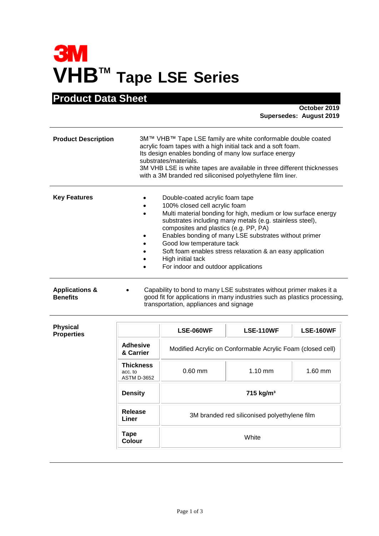## **3M VHBTM Tape LSE Series**

## **Product Data Sheet**

**October 2019 Supersedes: August 2019**

| <b>Product Description</b> | 3M™ VHB™ Tape LSE family are white conformable double coated<br>acrylic foam tapes with a high initial tack and a soft foam.<br>Its design enables bonding of many low surface energy<br>substrates/materials.<br>3M VHB LSE is white tapes are available in three different thicknesses<br>with a 3M branded red siliconised polyethylene film liner.                                                                                                |  |  |
|----------------------------|-------------------------------------------------------------------------------------------------------------------------------------------------------------------------------------------------------------------------------------------------------------------------------------------------------------------------------------------------------------------------------------------------------------------------------------------------------|--|--|
| <b>Key Features</b>        | Double-coated acrylic foam tape<br>100% closed cell acrylic foam<br>Multi material bonding for high, medium or low surface energy<br>substrates including many metals (e.g. stainless steel),<br>composites and plastics (e.g. PP, PA)<br>Enables bonding of many LSE substrates without primer<br>Good low temperature tack<br>Soft foam enables stress relaxation & an easy application<br>High initial tack<br>For indoor and outdoor applications |  |  |
| <b>Applications &amp;</b>  | Capability to bond to many LSE substrates without primer makes it a                                                                                                                                                                                                                                                                                                                                                                                   |  |  |

**Benefits** good fit for applications in many industries such as plastics processing, transportation, appliances and signage

| <b>Physical</b><br><b>Properties</b> |                                                   | <b>LSE-060WF</b>                                           | <b>LSE-110WF</b>                             | <b>LSE-160WF</b> |
|--------------------------------------|---------------------------------------------------|------------------------------------------------------------|----------------------------------------------|------------------|
|                                      | Adhesive<br>& Carrier                             | Modified Acrylic on Conformable Acrylic Foam (closed cell) |                                              |                  |
|                                      | <b>Thickness</b><br>acc. to<br><b>ASTM D-3652</b> | $0.60$ mm                                                  | $1.10 \text{ mm}$                            | $1.60$ mm        |
|                                      | <b>Density</b>                                    | 715 kg/m <sup>3</sup>                                      |                                              |                  |
|                                      | Release<br>Liner                                  |                                                            | 3M branded red siliconised polyethylene film |                  |
|                                      | <b>Tape</b><br>Colour                             |                                                            | White                                        |                  |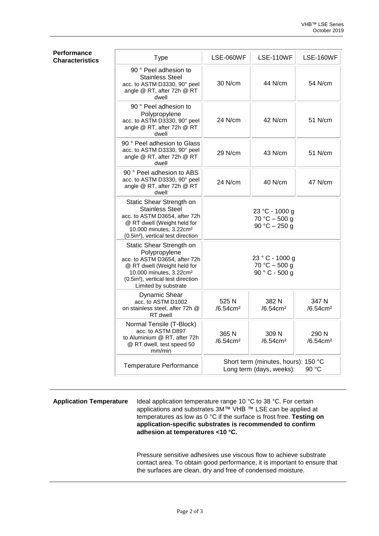| <b>Type</b>                                                                                                                                                                                                                | LSE-060WF                        | <b>LSE-110WF</b>                                                | <b>LSE-160WF</b>                 |
|----------------------------------------------------------------------------------------------------------------------------------------------------------------------------------------------------------------------------|----------------------------------|-----------------------------------------------------------------|----------------------------------|
| 90 ° Peel adhesion to<br>Stainless Steel<br>acc. to ASTM D3330, 90° peel<br>angle @ RT, after 72h @ RT<br>dwell                                                                                                            | 30 N/cm                          | 44 N/cm                                                         | 54 N/cm                          |
| 90 ° Peel adhesion to<br>Polypropylene<br>acc. to ASTM D3330, 90° peel<br>angle @ RT, after 72h @ RT<br>dwell                                                                                                              | 24 N/cm                          | 42 N/cm                                                         | 51 N/cm                          |
| 90 ° Peel adhesion to Glass<br>acc. to ASTM D3330, 90° peel<br>angle @ RT, after 72h @ RT<br>dwell                                                                                                                         | 29 N/cm                          | 43 N/cm                                                         | 51 N/cm                          |
| 90 ° Peel adhesion to ABS<br>acc. to ASTM D3330, 90° peel<br>angle @ RT, after 72h @ RT<br>dwell                                                                                                                           | 24 N/cm                          | 40 N/cm                                                         | 47 N/cm                          |
| Static Shear Strength on<br><b>Stainless Steel</b><br>acc. to ASTM D3654, after 72h<br>@ RT dwell (Weight held for<br>10.000 minutes, 3.22cm <sup>2</sup><br>(0.5in <sup>2</sup> ), vertical test direction                |                                  | 23 °C - 1000 g<br>$70 °C - 500 g$<br>90 °C $-$ 250 g            |                                  |
| Static Shear Strength on<br>Polypropylene<br>acc. to ASTM D3654, after 72h<br>@ RT dwell (Weight held for<br>10.000 minutes, 3.22cm <sup>2</sup><br>(0.5in <sup>2</sup> ), vertical test direction<br>Limited by substrate |                                  | 23 ° C - 1000 g<br>$70 °C - 500 g$<br>$90 ° C - 500 g$          |                                  |
| <b>Dynamic Shear</b><br>acc. to ASTM D1002<br>on stainless steel, after 72h @<br>RT dwell                                                                                                                                  | 525 N<br>$/6.54$ cm <sup>2</sup> | 382 N<br>$/6.54$ cm <sup>2</sup>                                | 347 N<br>$/6.54$ cm <sup>2</sup> |
| Normal Tensile (T-Block)<br>acc. to ASTM D897<br>to Aluminium @ RT, after 72h<br>@ RT dwell, test speed 50<br>mm/min                                                                                                       | 365 N<br>/6.54cm <sup>2</sup>    | 309 N<br>/6.54cm <sup>2</sup>                                   | 290 N<br>/6.54cm <sup>2</sup>    |
| Temperature Performance                                                                                                                                                                                                    |                                  | Short term (minutes, hours): 150 °C<br>Long term (days, weeks): | 90 °C                            |

**Performance Characteristics** 

**Application Temperature** Ideal application temperature range 10 °C to 38 °C. For certain applications and substrates 3M™ VHB ™ LSE can be applied at temperatures as low as 0 °C if the surface is frost free. **Testing on application-specific substrates is recommended to confirm adhesion at temperatures <10 °C.**

> Pressure sensitive adhesives use viscous flow to achieve substrate contact area. To obtain good performance, it is important to ensure that the surfaces are clean, dry and free of condensed moisture.